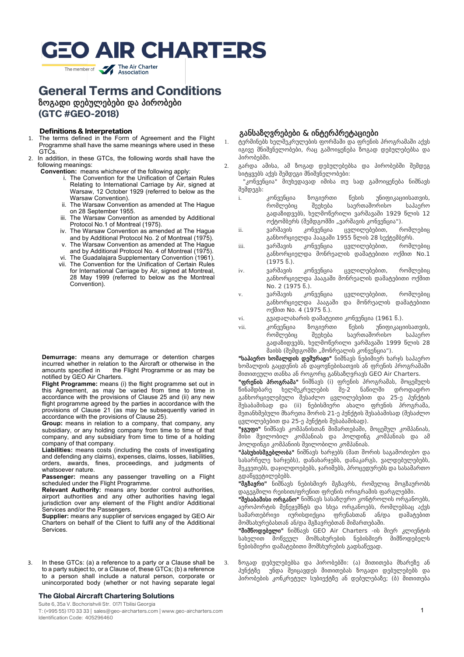The member of **The Air Charter** 

## **General Terms and Conditions**

ზოგადი დებულებები და პირობები

**(GTC #GEO-2018)**

#### **Definitions & Interpretation**

- 1. The terms defined in the Form of Agreement and the Flight Programme shall have the same meanings where used in these GTCs.
- 2. In addition, in these GTCs, the following words shall have the following meanings:

**Convention:** means whichever of the following apply:

- i. The Convention for the Unification of Certain Rules Relating to International Carriage by Air, signed at Warsaw, 12 October 1929 (referred to below as the Warsaw Convention).
- ii. The Warsaw Convention as amended at The Hague on 28 September 1955.
- iii. The Warsaw Convention as amended by Additional Protocol No.1 of Montreal (1975).
- iv. The Warsaw Convention as amended at The Hague and by Additional Protocol No. 2 of Montreal (1975).
- v. The Warsaw Convention as amended at The Hague and by Additional Protocol No. 4 of Montreal (1975).
- vi. The Guadalajara Supplementary Convention (1961). vii. The Convention for the Unification of Certain Rules
- for International Carriage by Air, signed at Montreal, 28 May 1999 (referred to below as the Montreal Convention).

**Demurrage:** means any demurrage or detention charges incurred whether in relation to the Aircraft or otherwise in the amounts specified in the Flight Programme or as may be the Flight Programme or as may be notified by GEO Air Charters.

**Flight Programme:** means (i) the flight programme set out in this Agreement, as may be varied from time to time in accordance with the provisions of Clause 25 and (ii) any new flight programme agreed by the parties in accordance with the provisions of Clause 21 (as may be subsequently varied in accordance with the provisions of Clause 25).

**Group:** means in relation to a company, that company, any subsidiary, or any holding company from time to time of that company, and any subsidiary from time to time of a holding company of that company.

**Liabilities:** means costs (including the costs of investigating and defending any claims), expenses, claims, losses, liabilities, orders, awards, fines, proceedings, and judgments of whatsoever nature.

Passenger: means any passenger travelling on a Flight scheduled under the Flight Programme.

**Relevant Authority:** means any border control authorities, airport authorities and any other authorities having legal jurisdiction over any element of the Flight and/or Additional Services and/or the Passengers.

**Supplier:** means any supplier of services engaged by GEO Air Charters on behalf of the Client to fulfil any of the Additional Services.

3. In these GTCs: (a) a reference to a party or a Clause shall be to a party subject to, or a Clause of, these GTCs; (b) a reference to a person shall include a natural person, corporate or unincorporated body (whether or not having separate legal

#### **The Global Aircraft Chartering Solutions**

Suite 6, 35a V. Bochorishvili Str. 0171 Tbilisi Georgia T: (+995 55) 170 33 33 | sales@geo-aircharters.com | www.geo-aircharters.com Identification Code: 405296460

#### განსაზღვრებები & ინტერპრეტაციები

- 1. ტერმინებს ხელშეკრულების ფორმაში და ფრენის პროგრამაში აქვს იგივე მნიშვნელობები, რაც გამოიყენება ზოგად დებულებებსა და პირობებში.
- 2. გარდა ამისა, ამ ზოგად დებულებებსა და პირობებში შემდეგ სიტყვებს აქვს შემდეგი მნიშვნელობები:

 "კონვენცია" მიუხედავად იმისა თუ სად გამოიყენება ნიშნავს შემდეგს:

- i. კონვენცია ზოგიერთი წესის უნიფიკაციისათვის, რომლებიც შეეხება საერთაშორისო საჰაერო გადაზიდვებს, ხელმოწერილი ვარშავაში 1929 წლის 12 ოქტომბერს (შემდგომში "ვარშავის კონვენცია").
- ii. ვარშავის კონვენცია ცვლილებებით, რომლებიც განხორციელდა ჰააგაში 1955 წლის 28 სექტემბერს.
- iii. ვარშავის კონვენცია ცვლილებებით, რომლებიც განხორციელდა მონრეალის დამატებითი ოქმით No.1 (1975 წ.).
- iv. ვარშავის კონვენცია ცვლილებებით, რომლებიც განხორციელდა ჰააგაში მონრეალის დამატებითი ოქმით No. 2 (1975 წ.).
- v. ვარშავის კონვენცია ცვლილებებით, რომლებიც განხორციელდა ჰააგაში და მონრეალის დამატებითი ოქმით No. 4 (1975 წ.).
- vi. გვადალახარის დამატეითი კონვენცია (1961 წ.).
- vii. კონვენცია ზოგიერთი წესის უნიფიკაციისათვის, რომლებიც შეეხება საერთაშორისო საჰაერო გადაზიდვებს, ხელმოწერილი ვარშავაში 1999 წლის 28 მაისს (შემდგომში "მონრეალის კონვენცია").

"საპაერო ხომალდის დემურაჟი" ნიშნავს ნებიმიერ ხარჯს საჰაერო ხომალდის გაცდენის ან დაყოვნებისათვის ან ფრენის პროგრამაში მითითეული თანხა ან როგორც განსაზღვრავს GEO Air Charters.

"ფრენის პროგრამა" ნიშნავს (i) ფრენის პროგრამას, მოცემულს წინამდბარე ხელშეკრულების მე-2 ნაწილში დროდადრო განხორციელებული შესაძლო ცვლილებებით და 25-ე პუნქტის შესაბამისად და (ii) ნებისმიერი ახალი ფრენის პროგრამა, შეთანხმებული მხარეთა შორის 21-ე პუნქტის შესაბამისად (შესაძლო ცვლილებებით და 25-ე პუნქტის შესაბამისად).

"ჯგუფი" ნიშნავს კომპანისთან მიმართებაში, მოცემულ კომპანიას, მისი შვილობილ კომპანიას და ჰოლდინგ კომპანიას და ამ ჰოლდინგი კომპანიის შვილობილი კომპანიას.

"პასუხისმგებლობა" ნიშნავს ხარჯებს (მათ შორის საგამოძიებო და სასარჩელე ხარჯებს), დანახარჯებს, დანაკარგს, ვალდებულებებს, შეკვეთებს, დაჯილდოებებს, ჯარიმებს, პროცედურებს და სასამართო გდაწყვეტილებებს.

"მგზავრი" ნიშნავს ნებისმიერ მგზავრს, რომელიც მოგზაურობს დაგეგმილი რეისით/ფრენით ფრენის ორიგრამის ფარგლებში.

"შესაბამისი ორგანო" ნიშნავს სასაზღვრო კონტროლის ორგანოებს, აეროპორტის მენეჯემნტს და სხვა ორგანოებს, რომლებსაც აქვს სამართებრივი იურისდიქცია ფრენასთან ან/და დამატებით მომსახურებასთან ან/და მგზავრებთან მიმართებაში.

"მიმწოდებელი" ნიშნავს GEO Air Charters -ის მიერ კლიენტის სახელით მოწვეულ მომსახურების ნებისმიერ მიმწოდებელს ნებისმიერი დამატებითი მომსხურების გადსაწევად.

3. ზოგად დებულებებსა და პირობებში: (ა) მითითება მხარეზე ან პუნქტზე უნდა შეიცავდეს მითითებას ზოგადი დებულებებს და პირობების კონკრეტულ სუბიექტზე ან დებულებაზე; (ბ) მითითება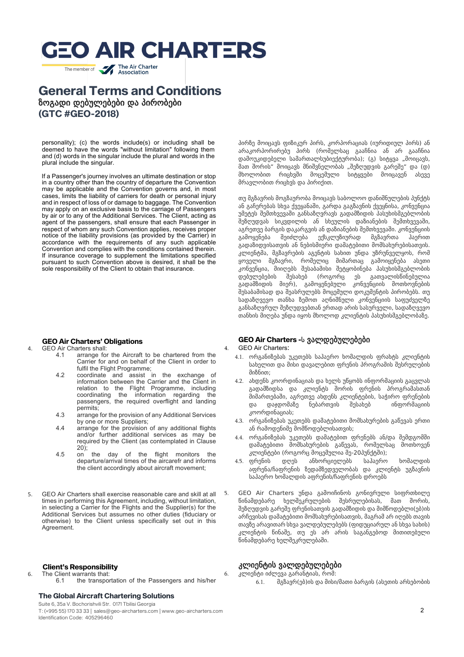The member of **The Air Charter** 

### **General Terms and Conditions** ზოგადი დებულებები და პირობები **(GTC #GEO-2018)**

personality); (c) the words include(s) or including shall be deemed to have the words "without limitation" following them and (d) words in the singular include the plural and words in the plural include the singular.

 If a Passenger's journey involves an ultimate destination or stop in a country other than the country of departure the Convention may be applicable and the Convention governs and, in most cases, limits the liability of carriers for death or personal injury and in respect of loss of or damage to baggage. The Convention may apply on an exclusive basis to the carriage of Passengers by air or to any of the Additional Services. The Client, acting as agent of the passengers, shall ensure that each Passenger in respect of whom any such Convention applies, receives proper notice of the liability provisions (as provided by the Carrier) in accordance with the requirements of any such applicable Convention and complies with the conditions contained therein. If insurance coverage to supplement the limitations specified pursuant to such Convention above is desired, it shall be the sole responsibility of the Client to obtain that insurance.

### **GEO Air Charters' Obligations**

- GEO Air Charters shall:<br>4.1 arrange for
	- arrange for the Aircraft to be chartered from the Carrier for and on behalf of the Client in order to fulfil the Flight Programme:
	- 4.2 coordinate and assist in the exchange of information between the Carrier and the Client in relation to the Flight Programme, including coordinating the information regarding the passengers, the required overflight and landing permits;
	- 4.3 arrange for the provision of any Additional Services by one or more Suppliers;
	- 4.4 arrange for the provision of any additional flights and/or further additional services as may be required by the Client (as contemplated in Clause 20);
	- 4.5 on the day of the flight monitors the departure/arrival times of the aircarefr and informs the client accordingly about aircraft movement;
- 5. GEO Air Charters shall exercise reasonable care and skill at all times in performing this Agreement, including, without limitation, in selecting a Carrier for the Flights and the Supplier(s) for the Additional Services but assumes no other duties (fiduciary or otherwise) to the Client unless specifically set out in this Agreement.

#### **Client's Responsibility**

6. The Client warrants that:<br>6.1 the transpote the transportation of the Passengers and his/her

#### **The Global Aircraft Chartering Solutions**

Suite 6, 35a V. Bochorishvili Str. 0171 Tbilisi Georgia

T: (+995 55) 170 33 33 | sales@geo-aircharters.com | www.geo-aircharters.com Identification Code: 405296460

პირზე მოიცავს ფიზიკურ პირს, კორპორაციას (იურიდიულ პირს) ან არაკორპორირებუ პირს (რომელსაც გააჩნია ან არ გააჩნია დამოუკიდებელი სამართალსუბიექტურობა); (გ) სიტყვა "მოიცავს, მათ შორის" მოიცავს მნიშვნელობას "შეზღუდვის გარეშე" და (დ) მხოლობით რიცხვში მოცემული სიტყვები მოიცავენ ასევე მრავლობით რიცხვს და პირიქით.

თუ მგზავრის მოგზაურობა მოიცავს საბოლოო დანიშნულების პუნქტს ან გაჩერებას სხვა ქვეყანაში, გარდა გაგზავნის ქვეყნისა, კონვენცია უმეტეს შემთხვევაში განსაზღვრავს გადამზიდის პასუხისმგებლობის შეზღუდვას სიკვდილის ან სხეულის დაზიანების შემთხვევაში, აგრეთვე ბარგის დაკარგვის ან დაზიანების შემთხვევაში. კონვენციის გამოყენება შეიძლება ექსკლუზიურად მგზავრთა ჰაერით გადაზიდვისათვის ან ნებისმიერი დამატებითი მომსახურებისათვის. კლიენტმა, მგზავრების აგენტის სახით უნდა უზრუნველყოს, რომ ყოველი მგზავრი, რომელიც მიმართაც გამოიყენება ასეთი კონვენცია, მიიღებს შესაბამისი შეტყობინება პასუხისმგებლობის დებულებების შესახებ (როგორც ეს გათვალისწინებულია გადამზიდის მიერ), გამოყენებული კონვენციის მოთხოვნების შესაბამისად და შეასრულებს მოცემული დოკუმენტის პირობებს. თუ სადაზღვევო თანხა ზემოთ აღნიშნული კონვენციის საფუძველზე განსაზღვრულ შეზღუდვებთან ერთად არის სასურველი, სადაზღვევო თანხის მიღება უნდა იყოს მხოლოდ კლიენტის პასუხისმგებლობაზე.

#### **GEO Air Charters -**ს ვალდებულებები

4. GEO Air Charters:

- 4.1. ორგანიზებას უკეთებს საჰაერო ხომალდის ფრახტს კლიენტის სახელით და მისი დავალებით ფრენის პროგრამის შესრულების მიზნით;
- 4.2. ახდენს კოორდინაციას და ხელს უწყობს ინფორმაციის გაცვლას გადამზიდსა და კლიენტს შორის ფრენის პროგრამასთან მიმართებაში, აგრეთვე ახდენს კლიენტების, საჭირო ფრენების და დაჯდომაზე ნებართვის შესახებ ინფორმაციის კოორდინაციას;
- 4.3. ორგანიზებას უკეთებს დამატებითი მომსახურების გაწევას ერთი ან რამოდენიმე მომწოდებლისათვის;
- 4.4. ორგანიზებას უკეთებს დამატებით ფრენებს ან/და შემდგომში დამატებითი მომსახურების გაწევას, რომელსაც მოთხოვენ კლიენტები (როგორც მოცემულია მე-20პუნქტში);
- 4.5. ფრენის დღეს ანხორციელებს საჰაერო ხომალდის აფრენა/ჩაფრენის ზედამზედველობას და კლიენტს უგზავნის საჰაერო ხომალდის აფრენის/ჩაფრენის დროებს
- 5. GEO Air Charters უნდა გამოიჩინოს გონივრული სიფრთხილე წინამდებარე ხელშეკრულების შესრულებისას, მათ შორის, შეზღუდვის გარეშე ფრენისათვის გადამზიდის და მიმწოდებლი(ებ)ის არჩევისას დამატებითი მომსახურებისათვის, მაგრამ არ იღებს თავის თავზე არავითარ სხვა ვალდებულებებს (ფიდუციარულ ან სხვა სახის) კლიენტის წინაშე, თუ ეს არ არის საგანგებოდ მითითებული წინამდებარე ხელშეკრულებაში.

### კლიენტის ვალდებულებები

6. კლიენტი იძლევა გარანტიას, რომ: 6.1. მგზავრ(ებ)ის და მისი/მათი ბარგის (ასეთის არსებობის

2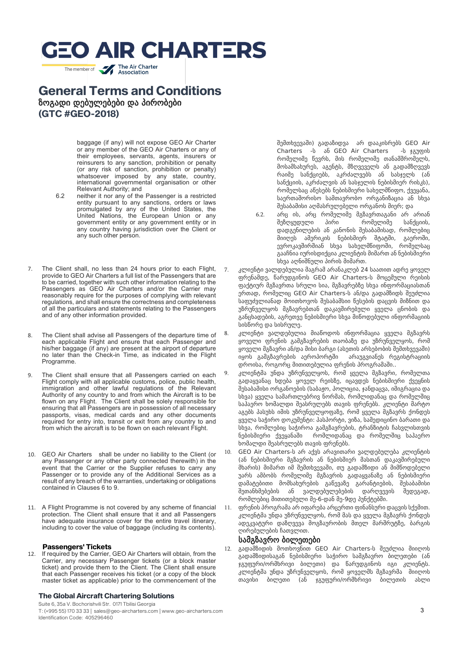The member of **The Air Charter** 

## **General Terms and Conditions** ზოგადი დებულებები და პირობები **(GTC #GEO-2018)**

baggage (if any) will not expose GEO Air Charter or any member of the GEO Air Charters or any of their employees, servants, agents, insurers or reinsurers to any sanction, prohibition or penalty (or any risk of sanction, prohibition or penalty) whatsoever imposed by any state, country, international governmental organisation or other Relevant Authority; and

- 6.2 neither it nor any of the Passenger is a restricted entity pursuant to any sanctions, orders or laws promulgated by any of the United States, the United Nations, the European Union or any government entity or any government entity or in any country having jurisdiction over the Client or any such other person.
- 7. The Client shall, no less than 24 hours prior to each Flight, provide to GEO Air Charters a full list of the Passengers that are to be carried, together with such other information relating to the Passengers as GEO Air Charters and/or the Carrier may reasonably require for the purposes of complying with relevant regulations, and shall ensure the correctness and completeness of all the particulars and statements relating to the Passengers and of any other information provided.
- 8. The Client shall advise all Passengers of the departure time of each applicable Flight and ensure that each Passenger and his/her baggage (if any) are present at the airport of departure no later than the Check-in Time, as indicated in the Flight Programme.
- 9. The Client shall ensure that all Passengers carried on each Flight comply with all applicable customs, police, public health, immigration and other lawful regulations of the Relevant Authority of any country to and from which the Aircraft is to be flown on any Flight. The Client shall be solely responsible for ensuring that all Passengers are in possession of all necessary passports, visas, medical cards and any other documents required for entry into, transit or exit from any country to and from which the aircraft is to be flown on each relevant Flight.
- 10. GEO Air Charters shall be under no liability to the Client (or any Passenger or any other party connected therewith) in the event that the Carrier or the Supplier refuses to carry any Passenger or to provide any of the Additional Services as a result of any breach of the warranties, undertaking or obligations contained in Clauses 6 to 9.
- 11. A Flight Programme is not covered by any scheme of financial protection. The Client shall ensure that it and all Passengers have adequate insurance cover for the entire travel itinerary, including to cover the value of baggage (including its contents).

## **Passengers' Tickets**<br>12. If required by the Carrier.

If required by the Carrier, GEO Air Charters will obtain, from the Carrier, any necessary Passenger tickets (or a block master ticket) and provide them to the Client. The Client shall ensure that each Passenger receives his ticket (or a copy of the block master ticket as applicable) prior to the commencement of the

#### **The Global Aircraft Chartering Solutions**

Suite 6, 35a V. Bochorishvili Str. 0171 Tbilisi Georgia T: (+995 55) 170 33 33 | sales@geo-aircharters.com | www.geo-aircharters.com Identification Code: 405296460

შემთხვევაში) გადაზიდვა არ დააკისრებს GEO Air Charters -ს ან GEO Air Charters -ს ჯგუფის რომელიმე წევრს, მის რომელიმე თანამშრომელს, მოსამსახურეს, აგენტს, მზღვეველს ან გადამზღვევს რაიმე სანქციებს, აკრძალვებს ან სასჯელს (ან სანქციის, აკრძალვის ან სასჯელის ნებისმიერ რისკს), რომელსაც აწესებს ნებისმიერი სახელმწიფო, ქვეყანა, საერთაშორისო სამთავრობო ორგანიზაცია ან სხვა შესაბამისი აღმასრულებელი ორგანოს მიერ; და

- 6.2. არც ის, არც რომელიმე მგზავრთაგანი არ არიან შეზღყუდული დადგენილების ან კანონის შესაბამისად, რომლებიც მიიღეს ამერიკის ნებისმიერ შტატში, გაეროში, ევროკავშირშიან სხვა სახელმწიფოში, რომელსაც გააჩნია იურისდიქცია კლიენტის მიმართ ან ნებისმიერი სხვა აღნიშნული პირის მიმართ.
- 7. კლიენტი ვალდებულია მაგრამ არანაკლებ 24 საათით ადრე ყოველ ფრენამდე, წარუდგინოს GEO Air Charters-ს მოცემული რეისის ფაქტიურ მგზავრთა სრული სია, მგზავრებზე სხვა ინფორმაციასთან ერთად, რომელიც GEO Air Charters-ს ან/და გადამზიდს შეუძლია საფუძვლიანად მოითხოვოს შესაბამსიი წესების დაცვის მიზნით და უზრუნველყოს მგზავრებთან დაკავშირებული ყველა ცნობის და განცხადების, აგრეთვე ნებისმიერი სხვა მიწოდებული ინფორმაციის სისწორე და სისრულე.
- 8. კლიენტი ვალდებულია მიაწოდოს ინფორმაცია ყველა მგზავრს ყოველი ფრენის გამგზავრების თაობაზე და უზრუნველყოს, რომ ყოველი მგზავრი ან/და მისი ბარგი (ასეთის არსებობის შემთხვევაში) იყოს გამგზავრების აეროპორტში არაუგვიანეს რეგისტრაციის დროისა, როგორც მითითებულია ფრენის პროგრამაში..
- 9. კლიენტმა უნდა უზრუნველყოს, რომ ყველა მგზავრი, რომელთა გადაყვანაც ხდება ყოველ რეისზე, იცავდეს ნებისმიერი ქვეყნის შესაბამისი ორგანოების (საბაჟო, პოლიცია, ჯანდაცვა, იმიგრაცია და სხვა) ყველა სამართლებრივ ნორმას, რომლიდანაც და რომელშიც საჰაერო ხომალდი შეასრულებს თავის ფრენებს. კლიენტი მარტო აგებს პასუხს იმის უზრუნველყოფაზე, რომ ყველა მგზავრს ქონდეს ყველა საჭირო დოკუმენტი: პასპორტი, ვიზა, სამედიცინო ბარათი და სხვა, რომლებიც საჭიროა გამგზავრების, ტრანზიტის ჩასვლისთვის ნებისმიერი ქვეყანაში რომლიდანაც და რომელშიც საჰაერო ხომალდი შეასრულებს თავის ფრენებს.
- 10. GEO Air Charters-ს არ აქვს არავითარი ვალდებულება კლიენტის (ან ნებისმიერი მგზავრის ან ნებისმიერ მასთან დაკავშირებული მხარის) მიმართ იმ შემთხვევაში, თუ გადამზიდი ან მიმწოდებელი უარს ამბობს რომელიმე მგზავრის გადაყვანაზე ან ნებისმიერი დამატებითი მომსახურების გაწევაზე გარანტიების, შესაბამისი<br>შეთანხმებების ან ვალდებულებების დარღვევის შედეგად, შეთანხმებების ან ვალდებულებების დარღვევის შედეგად, რომლებიც მითითებული მე-6-დან მე-9დე პუნქტებში.
	- 11. ფრენის პროგრამა არ იფარება არცერთი ფინანსური დაცვის სქემით. კლიენტმა უნდა უზრუნველყოს, რომ მას და ყველა მგზავრს ქონდეს ადეკვატური დაზღვევა მოგზაურობის მთელ მარშრუტზე, ბარგის ღირებულების ჩათვლით.

#### სამგზავრო ბილეთები

12. გადამზიდის მოთხოვნით GEO Air Charters-ს შეუძლია მიიღოს გადამზიდისაგან ნებისმიერი საჭირო სამგზავრო ბილეთები (ან ჯგუფური/ორმხრივი ბილეთი) და წარუდგინოს იგი კლიენტს. კლიენტმა უნდა უზრუნველყოს, რომ ყოველმს მგზავრმა მიიღოს თავისი ბილეთი (ან ჯგუფური/ორმხრივი ბილეთის ასლი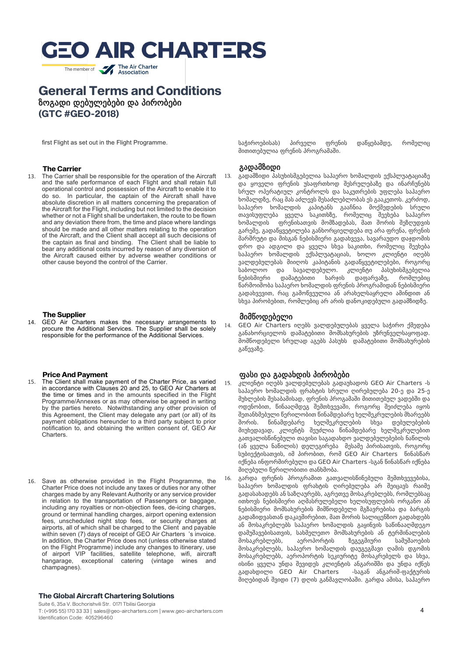The member of **The Air Charter** 

### **General Terms and Conditions** ზოგადი დებულებები და პირობები **(GTC #GEO-2018)**

first Flight as set out in the Flight Programme.

## **The Carrier**<br>13. The Carrier sh

The Carrier shall be responsible for the operation of the Aircraft and the safe performance of each Flight and shall retain full operational control and possession of the Aircraft to enable it to do so. In particular, the captain of the Aircraft shall have absolute discretion in all matters concerning the preparation of the Aircraft for the Flight, including but not limited to the decision whether or not a Flight shall be undertaken, the route to be flown and any deviation there from, the time and place where landings should be made and all other matters relating to the operation of the Aircraft, and the Client shall accept all such decisions of the captain as final and binding. The Client shall be liable to bear any additional costs incurred by reason of any diversion of the Aircraft caused either by adverse weather conditions or other cause beyond the control of the Carrier.

#### **The Supplier**

14. GEO Air Charters makes the necessary arrangements to procure the Additional Services. The Supplier shall be solely responsible for the performance of the Additional Services.

## **Price And Payment**<br>15. The Client shall make pay

- The Client shall make payment of the Charter Price, as varied in accordance with Clauses 20 and 25, to GEO Air Charters at the time or times and in the amounts specified in the Flight Programme/Annexes or as may otherwise be agreed in writing by the parties hereto. Notwithstanding any other provision of this Agreement, the Client may delegate any part (or all) of its payment obligations hereunder to a third party subject to prior notification to, and obtaining the written consent of, GEO Air Charters.
- 16. Save as otherwise provided in the Flight Programme, the Charter Price does not include any taxes or duties nor any other charges made by any Relevant Authority or any service provider in relation to the transportation of Passengers or baggage, including any royalties or non-objection fees, de-icing charges, ground or terminal handling charges, airport opening extension fees, unscheduled night stop fees, or security charges at airports, all of which shall be charged to the Client and payable within seven (7) days of receipt of GEO Air Charters 's invoice. In addition, the Charter Price does not (unless otherwise stated on the Flight Programme) include any changes to itinerary, use of airport VIP facilities, satellite telephone, wifi, aircraft<br>hangarage, exceptional catering (vintage wines and exceptional catering (vintage wines and champagnes).

#### **The Global Aircraft Chartering Solutions**

Suite 6, 35a V. Bochorishvili Str. 0171 Tbilisi Georgia T: (+995 55) 170 33 33 | sales@geo-aircharters.com | www.geo-aircharters.com Identification Code: 405296460

საჭიროებისას) პირველი ფრენის დაწყებამდე, რომელიც მითითებულია ფრენის პროგრამაში.

#### გადამზიდი

13. გადამზიდი პასუხისმგებელია საჰაერო ხომალდის ექსპლუატაციაზე და ყოველი ფრენის უსაფრთხოდ შესრულებაზე და ინარჩუნებს სრულ ოპერატიულ კონტროლს და საკუთრების უფლება საჰაერო ხომალდზე, რაც მას აძლევს შესაძლებლობას ეს გააკეთოს. კერძოდ, საჰაერო ხომალდის კაპიტანს გააჩნია მოქმედების სრული თავისუფლება ყველა საკითხზე, რომელიც შეეხება საჰაერო ხომალდის ფრენისათვის მომზადებას, მათ შორის შეზღუდვის გარეშე, გადაწყვეტილება განხორციელდება თუ არა ფრენა, ფრენის მარშრუტი და მისგან ნებისმიერი გადახვევა, სავარაუდო დაჯდომის დრო და ადგილი და ყველა სხვა საკითხი, რომელიც შეეხება საჰაერო ხომალდის ექსპლუატაციას, ხოლო კლიენტი იღებს ვალდებულებას მიიღოს კაპიტანის გადაწყვეტილებები, როგორც საბოლოო და სავალდებულო. კლიენტი პასუხისმგებელია ნებისმიერი დამატებითი ხარჯის დაფარვაზე, რომლებიც წარმოიშობა საჰაერო ხომალდის ფრენის პროგრამიდან ნებისმიერი გადახვევით, რაც გამოწვეულია ან არახელსაყრელი ამინდით ან სხვა პირობებით, რომლებიც არ არის დანოკიდებული გადამზიდზე.

#### მიმწოდებელი

14. GEO Air Charters იღებს ვალდებულებას ყველა საჭირო ქმედება განახორციელოს დამატებითი მომსახურების უზრუნველსაყოფად. მომწოდებელი სრულად აგებს პასუხს დამატებითი მომსახურების გაწევაზე.

#### ფასი და გადახდის პირობები

- 15. კლიენტი იღებს ვალდებულებას გადაუხადოს GEO Air Charters -ს საჰაერო ხომალდის ფრახტის სრული ღირებულება 20-ე და 25-ე მუხლების შესაბამისად, ფრენის პროგამაში მითითებულ ვადებში და ოდენობით, წინააღმდეგ შემთხვევაში, როგორც შეიძლება იყოს შეთანხმებული წერილობით წინამდებარე ხელშეკრულების მხარეებს შორის. წინამდებარე ხელშეკრულების სხვა დებულებების მიუხედავად, კლიენტს შეუძლია წინამდებარე ხელშეკრულებით გათვალისწინებული თავისი საგადახდო ვალდებულებების ნაწილის (ან ყველა ნაწილის) დელეგირება მესამე პირისათვის, როგორც სუბიექტისათვის, იმ პირობით, რომ GEO Air Charters წინასწარ იქნება ინფორმირებული და GEO Air Charters -სგან წინასწარ იქნება მიღებული წერილობითი თანხმობა.
- 16. გარდა ფრენის პროგრამით გათვალისწინებული შემთხვევებისა, საჰაერო ხომალდის ფრახტის ღირებულება არ შეიცავს რაიმე გადასახადებს ან საზღაურებს, აგრეთვე მოსაკრებლებს, რომლებსაც ითხოვს ნებისმიერი აღმასრულებელი ხელისუფლების ორგანო ან ნებისმიერი მომსახურების მიმწოდებელი მგზავრებისა და ბარგის გადაზიდვასთან დაკავშირებით, მათ შორის სალიცენზიო გადახდებს ან მოსაკრებლებს საჰაერო ხომალდის გაყინვის საწინააღმდეგო დამუშავებისათვის, სახმელეთო მომსახურების ან ტერმინალების მოსაკრებლებს, აეროპორტის ზეგეგმიური სამუშაოების მოსაკრებლებს, საჰაერო ხომალდის დაუგეგმავი ღამის დგომის მოსაკრებლებს, აეროპორტის სეკიურიტე მოსაკრებელს და სხვა, ისინი ყველა უნდა შევიდეს კლიენტის ანგარიშში და უნდა იქნეს გადახდილი GEO Air Charters -საგან ანგარიშ-ფაქტურის მიღებიდან შვიდი (7) დღის განმავლობაში. გარდა ამისა, საჰაერო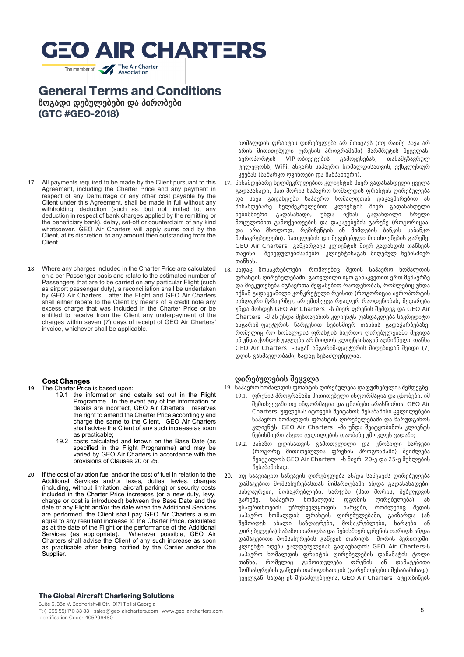The member of **The Air Charter** 

### **General Terms and Conditions** ზოგადი დებულებები და პირობები **(GTC #GEO-2018)**

- 17. All payments required to be made by the Client pursuant to this Agreement, including the Charter Price and any payment in respect of any Demurrage or any other cost payable by the Client under this Agreement, shall be made in full without any withholding, deduction (such as, but not limited to, any deduction in respect of bank charges applied by the remitting or the beneficiary bank), delay, set-off or counterclaim of any kind whatsoever. GEO Air Charters will apply sums paid by the Client, at its discretion, to any amount then outstanding from the Client.
- 18. Where any charges included in the Charter Price are calculated on a per Passenger basis and relate to the estimated number of Passengers that are to be carried on any particular Flight (such as airport passenger duty), a reconciliation shall be undertaken by GEO Air Charters after the Flight and GEO Air Charters shall either rebate to the Client by means of a credit note any excess charge that was included in the Charter Price or be entitled to receive from the Client any underpayment of the charges within seven (7) days of receipt of GEO Air Charters' invoice, whichever shall be applicable.

### **Cost Changes**<br><sup>19</sup> The Charter Price

- The Charter Price is based upon:
	- 19.1 the information and details set out in the Flight Programme. In the event any of the information or details are incorrect, GEO Air Charters reserves the right to amend the Charter Price accordingly and charge the same to the Client. GEO Air Charters shall advise the Client of any such increase as soon as practicable;
	- 19.2 costs calculated and known on the Base Date (as specified in the Flight Programme) and may be varied by GEO Air Charters in accordance with the provisions of Clauses 20 or 25.
- 20. If the cost of aviation fuel and/or the cost of fuel in relation to the Additional Services and/or taxes, duties, levies, charges (including, without limitation, aircraft parking) or security costs included in the Charter Price increases (or a new duty, levy, charge or cost is introduced) between the Base Date and the date of any Flight and/or the date when the Additional Services are performed, the Client shall pay GEO Air Charters a sum equal to any resultant increase to the Charter Price, calculated as at the date of the Flight or the performance of the Additional Services (as appropriate). Wherever possible, GEO Air Charters shall advise the Client of any such increase as soon as practicable after being notified by the Carrier and/or the Supplier.

#### **The Global Aircraft Chartering Solutions**

Suite 6, 35a V. Bochorishvili Str. 0171 Tbilisi Georgia T: (+995 55) 170 33 33 | sales@geo-aircharters.com | www.geo-aircharters.com Identification Code: 405296460

ხომალდის ფრახტის ღირებულება არ მოიცავს (თუ რაიმე სხვა არ არის მითითებული ფრენის პროგრამაში) მარშრუტის შეცვლას, აეროპორტის VIP-ობიექტების გამოყენებას, თანამგზავრულ ტელეფონს, WiFi, ანგარს საჰაერო ხომალდისათვის, ექსკლუზიურ კვებას (სამარკო ღვინოები და შამპანიური).

- 17. წინამდებარე ხელშეკრულებით კლიენტის მიერ გადასახდელი ყველა გადასახადი, მათ შორის საჰაერო ხომალდის ფრახტის ღირებულება და სხვა გადახდები საჰაერო ხომალდთან დაკავშირებით ან წინამდებარე ხელშეკრულებით კლიენტის მიერ გადასახდელი ნებისმიერი გადასახადი, უნდა იქნას გადახდილი სრული მოცულობით გამოქვითვების და დაკავებების გარეშე (როგორიცაა, და არა მხოლოდ, რემინენტის ან მიმღების ბანკის საბანკო მოსაკრებელები), ჩათვლების და შეგებებული მოთხოვნების გარეშე. GEO Air Charters განკარგავს კლიენტის მიერ გადახდის თანხებს თავისი შეხედულებისამებრ, კლიენტისაგან მიღებულ ნებისმიერ თანხას.
- 18. სადაც მოსაკრებლები, რომლებიც შედის საჰაერო ხომალდის ფრახტის ღირებულებაში, გათვლილი იყო განაკვეთით ერთ მგზავრზე და მიეკუთვნება მგზავრთა შეფასებით რაოდენობას, რომლებიც უნდა იქნან გადაყვანილი კონკრეტული რეისით (როგორიცაა აეროპორტის საზღაური მგზავრზე), არ ემთხვევა რეალურ რაოდენობას, შედარება უნდა მოხდეს GEO Air Charters -ს მიერ ფრენის შემდეგ და GEO Air Charters -მ ან უნდა შესთავაზოს კლიენტს ფასდაკლება საკრედიტო ანგარიშ-ფაქტურის წარგენით ნებისმიერ თანხის გადაჭარბებაზე, რომელიც რო ხომალდის ფრახტის საერთო ღირებულებაში შევიდა ან უნდა ქონდეს უფლება არ მიიღოს კლიენტისაგან აღნიშნული თანხა GEO Air Charters -საგან ანგარიშ-ფაქტურის მიღებიდან შვიდი (7) დღის განმავლობაში, სადაც სესაძლებელია.

#### ღირებულების შეცვლა

- 19. საჰაერო ხომალდის ფრახტის ღირებულება დაფუძნებულია შემდეგზე:
	- 19.1. ფრენის პროგრამაში მითითებული ინფორმაცია და ცნობები. იმ შემთხვევაში თუ ინფორმაცია და ცნობები არასწორია, GEO Air Charters უფლებას იტოვებს შეიტანოს შესაბამისი ცვლილებები საჰაერო ხომალდის ფრახტის ღირებულებაში და წარუდგინოს კლიენტს. GEO Air Charters -მა უნდა შეატყობინოს კლიენტს ნებისმიერი ასეთი ცვლილების თაობაზე უმოკლეს ვადაში;
	- 19.2. საბაზო დღისათვის გამოთვლილი და ცნობილი ხარჯები (როგორც მითითებულია ფრენის პროგრამაში) შეიძლება შეიცვალოს GEO Air Charters -ს მიერ 20-ე და 25-ე მუხლების შესაბამისად.
- 20. თუ საავიაციო საწვავის ღირებულება ან/და საწვავის ღირებულება დამატებით მომსახურებასთან მიმართებაში ან/და გადასახადები, საზღაურები, მოსაკრებლები, ხარჯები (მათ შორის, შეზღუდვის გარეშე, საჰაერო ხომალდის დგომის ღირებულება) ან უსაფრთხოების უზრუნველყოფის ხარჯები, რომლებიც შედის საჰაერო ხომალდის ფრახტის ღირებულებაში, გაიზარდა (ან შემოიღეს ახალი საზღაურები, მოსაკრებლები, ხარჯები ან ღირებულება) საბაზო თარიღსა და ნებისმიერ ფრენის თარიღს ან/და დამატებითი მომსახურების გაწევის თარიღს შორის პერიოდში, კლიენტი იღებს ვალდებულებას გადაუხადოს GEO Air Charters-ს საჰაერო ხომალდის ფრახტის ღირებულების დანამატის ტოლი თანხა, რომელიც გამოითვლება ფრენის ან დამატებითი მომსახურების გაწევის თარიღისათვის (გარემოებების შესაბამისად). ყველგან, სადაც ეს შესაძლებელია, GEO Air Charters ატყობინებს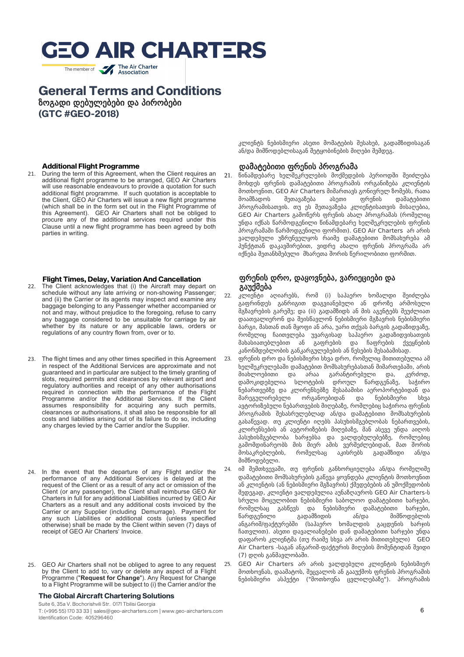The member of **The Air Charter** 

### **General Terms and Conditions** ზოგადი დებულებები და პირობები

**(GTC #GEO-2018)**

## **Additional Flight Programme**<br>21 During the term of this Agreement

During the term of this Agreement, when the Client requires an additional flight programme to be arranged, GEO Air Charters will use reasonable endeavours to provide a quotation for such additional flight programme. If such quotation is acceptable to the Client, GEO Air Charters will issue a new flight programme (which shall be in the form set out in the Flight Programme of this Agreement). GEO Air Charters shall not be obliged to procure any of the additional services required under this Clause until a new flight programme has been agreed by both parties in writing.

#### **Flight Times, Delay, Variation And Cancellation**

- 22. The Client acknowledges that (i) the Aircraft may depart on schedule without any late arriving or non-showing Passenger; and (ii) the Carrier or its agents may inspect and examine any baggage belonging to any Passenger whether accompanied or not and may, without prejudice to the foregoing, refuse to carry any baggage considered to be unsuitable for carriage by air whether by its nature or any applicable laws, orders or regulations of any country flown from, over or to.
- 23. The flight times and any other times specified in this Agreement in respect of the Additional Services are approximate and not guaranteed and in particular are subject to the timely granting of slots, required permits and clearances by relevant airport and regulatory authorities and receipt of any other authorisations required in connection with the performance of the Flight Programme and/or the Additional Services. If the Client assumes responsibility for acquiring any such permits, clearances or authorisations, it shall also be responsible for all costs and liabilities arising out of its failure to do so, including any charges levied by the Carrier and/or the Supplier.
- 24. In the event that the departure of any Flight and/or the performance of any Additional Services is delayed at the request of the Client or as a result of any act or omission of the Client (or any passenger), the Client shall reimburse GEO Air Charters in full for any additional Liabilities incurred by GEO Air Charters as a result and any additional costs invoiced by the Carrier or any Supplier (including Demurrage). Payment for any such Liabilities or additional costs (unless specified otherwise) shall be made by the Client within seven (7) days of receipt of GEO Air Charters' Invoice.
- GEO Air Charters shall not be obliged to agree to any request by the Client to add to, vary or delete any aspect of a Flight Programme ("**Request for Change**"). Any Request for Change to a Flight Programme will be subject to (i) the Carrier and/or the

#### **The Global Aircraft Chartering Solutions**

Suite 6, 35a V. Bochorishvili Str. 0171 Tbilisi Georgia T: (+995 55) 170 33 33 | sales@geo-aircharters.com | www.geo-aircharters.com Identification Code: 405296460

კლიენტს ნებისმიერი ასეთი მომატების შესახებ, გადამზიდისაგან ან/და მიმწოდებლისაგან შეტყობინების მიღები შემდეგ.

#### დამატებითი ფრენის პროგრამა

21. წინამდებარე ხელშეკრულების მოქმედების პერიოდში შეიძლება მოხდეს ფრენის დამატებითი პროგრამის ორგანიზება კლიენტის მოთხოვნით, GEO Air Charters მიმართავს გონივრულ ზომებს, რათა მოამზადოს შეთავაზება ასეთი ფრენის დამატებითი პროგრამისათვის. თუ ეს შეთავაზება კლიენტისათვის მისაღებია, GEO Air Charters გამოწერს ფრენის ახალ პროგრამას (რომელიც უნდა იქნას წარმოდგენილი წინამდებარე ხელშეკრულების ფრენის პროგრამაში წარმოდგენილი ფორმით). GEO Air Charters არ არის ვალდებული უზრუნველყოს რაიმე დამატებითი მომსახურება ამ პუნქტთან დაკავშირებით, ვიდრე ახალი ფრენის პროგრამა არ იქნება შეთანხმებული მხარეთა შორის წერილობითი ფორმით.

#### ფრენის დრო, დაყოვნება, ვარიეციები და გაუქმება

- 22. კლიენტი აღიარებს, რომ (i) საჰაერო ხომალდი შეიძლება გაფრინდეს განრიგით დაგვიანებული ან დროზე არმოსული მგზავრების გარეშე; და (ii) გადამზიდს ან მის აგენტებს შეუძლიათ დაათვალიერონ და შეისწავლონ ნებისმიერი მგზავრის ნებისმიერი ბარგი, მასთან თან მყოფი ან არა, უარი თქვას ბარგის გადაზიდვაზე, რომელიც ჩაითვლება უვარგისად საჰაერო გადაზიდვისათვის მახასიათებლებით ან გაფრების და ჩაფრების ქვეყნების კანონმდებლობის განკარგულებების ან წესების შესაბამისად.
- 23. ფრენის დრო და ნებისმიერი სხვა დრო, რომელიც მითითებულია ამ ხელშეკრულებაში დამატებით მომსახურებასთან მიმართებაში, არის მიახლოებითი და არაა გარანტირებული და, კერძოდ, დამოკიდებულია სლოტების დროულ წარდგენაზე, საჭირო ნებართვებზე და კლირენსებზე შესაბამისი აეროპორტებიდან და მარეგულირებელი ორგანოებიდან და ნებისმიერი სხვა ავტორიზებული ნებართვების მიღებაზე, რომლებიც საჭიროა ფრენის პროგრამის შესასრულებლად ან/და დამატებითი მომსახურების გასაწევად. თუ კლიენტი იღებს პასუხისმგებლობას ნებართვების, კლირენსების ან ავტორიზების მიღებაზე, მან ასევე უნდა აიღოს პასუხისმგებლობა ხარჯებსა და ვალდებულებებზე, რომლებიც გამომდინარეობს მის მიერ ამის ვერშეძლებიდან, მათ შორის მოსაკრებლების, რომელსაც აკისრებს გადამზიდი ან/და მიმწოდებელი.
- 24. იმ შემთხვევაში, თუ ფრენის განხორციელება ან/და რომელიმე დამატებითი მომსახურების გაწევა ყოვნდება კლიენტის მოთხოვნით ან კლიენტის (ან ნებისმიერი მგზავრის) ქმედებების ან უმოქმედობის შედეგად, კლიენტი ვალდებულია აუნაზღაუროს GEO Air Charters-ს სრული მოცულობით ნებისმიერი საბოლოო დამატებითი ხარჯები, რომელსაც გასწევს და ნებისმიერი დამატებითი ხარჯები, წარდგენილი გადამზიდის ან/და მიმწოდებლის ანგარიშ/ფაქტურებში (საჰაერო ხომალდის გაცდენის ხარჯის ჩათვლით). ასეთი დავალიანებები დან დამატებითი ხარჯები უნდა დაფაროს კლიენტმა (თუ რაიმე სხვა არ არის მითითებული) GEO Air Charters -საგან ანგარიშ-ფაქტურის მიღების მომენტიდან შვიდი (7) დღის განმავლობაში.
- 25. GEO Air Charters არ არის ვალდებული კლიენტის ნებისმიერ მოთხოვნას, დაამატოს, შეცვალოს ან გააუქმოს ფრენის პროგრამის ნებისმიერი ასპექტი ("მოთხოვნა ცვლილებაზე"). პროგრამის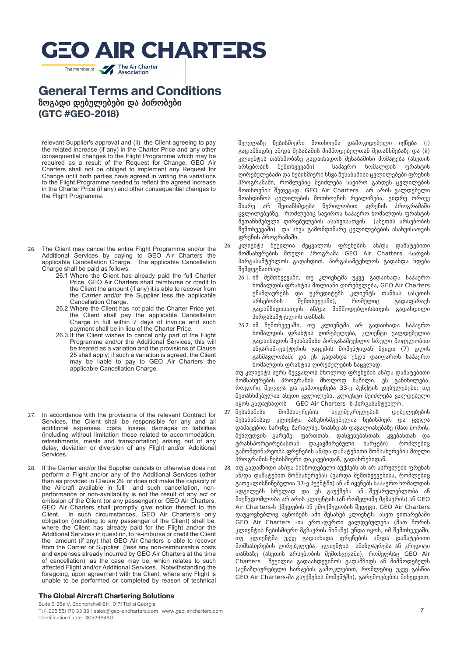The member of **The Air Charter** 

## **General Terms and Conditions** ზოგადი დებულებები და პირობები **(GTC #GEO-2018)**

relevant Supplier's approval and (ii) the Client agreeing to pay the related increase (if any) in the Charter Price and any other consequential changes to the Flight Programme which may be required as a result of the Request for Change. GEO Air Charters shall not be obliged to implement any Request for Change until both parties have agreed in writing the variations to the Flight Programme needed to reflect the agreed increase in the Charter Price (if any) and other consequential changes to the Flight Programme.

- 26. The Client may cancel the entire Flight Programme and/or the Additional Services by paying to GEO Air Charters the applicable Cancellation Charge. The applicable Cancellation Charge shall be paid as follows:
	- 26.1 Where the Client has already paid the full Charter Price, GEO Air Charters shall reimburse or credit to the Client the amount (if any) it is able to recover from the Carrier and/or the Supplier less the applicable Cancellation Charge.
	- 26.2 Where the Client has not paid the Charter Price yet, the Client shall pay the applicable Cancellation Charge in full within 7 days of invoice and such payment shall be in lieu of the Charter Price.
	- 26.3 If the Client wishes to cancel only part of the Flight Programme and/or the Additional Services, this will be treated as a variation and the provisions of Clause 25 shall apply; if such a variation is agreed, the Client may be liable to pay to GEO Air Charters the applicable Cancellation Charge.
- 27. In accordance with the provisions of the relevant Contract for Services, the Client shall be responsible for any and all additional expenses, costs, losses, damages or liabilities (including without limitation those related to accommodation, refreshments, meals and transportation) arising out of any delay, deviation or diversion of any Flight and/or Additional Services.
- 28. If the Carrier and/or the Supplier cancels or otherwise does not perform a Flight and/or any of the Additional Services (other than as provided in Clause 29 or does not make the capacity of the Aircraft available in full and such cancellation, nonperformance or non-availability is not the result of any act or omission of the Client (or any passenger) or GEO Air Charters, GEO Air Charters shall promptly give notice thereof to the Client. In such circumstances, GEO Air Charters's only obligation (including to any passenger of the Client) shall be, where the Client has already paid for the Flight and/or the Additional Services in question, to re-imburse or credit the Client the amount (if any) that GEO Air Charters is able to recover from the Carrier or Supplier (less any non-reimbursable costs and expenses already incurred by GEO Air Charters at the time of cancellation), as the case may be, which relates to such affected Flight and/or Additional Services. Notwithstanding the foregoing, upon agreement with the Client, where any Flight is unable to be performed or completed by reason of technical

#### **The Global Aircraft Chartering Solutions**

Suite 6, 35a V. Bochorishvili Str. 0171 Tbilisi Georgia T: (+995 55) 170 33 33 | sales@geo-aircharters.com | www.geo-aircharters.com Identification Code: 405296460

შეცვლაზე ნებისმიერი მოთხოვნა დამოკიდებული იქნება (i) გადამზიდზე ან/და შესაბამის მიმწოდებელთან შეთანხმებაზე და (ii) კლიენტის თანხმობაზე გადაიხადოს შესაბამისი მომატება (ასეთის არსებობის შემთხვევაში) საჰაერო ხომალდის ფრახტის ღირებულებაში და ნებისმიერი სხვა შესაბამისი ცვლილებები ფრენის პროგრამაში, რომლებიც შეიძლება საჭირო გახდეს ცვლილების მოთხოვნის შედეგად. GEO Air Charters არ არის ვალდებული მოახდინოს ცვლილების მოთხოვნის რეალიზება, ვიდრე ორივე მხარე არ შეთანხმდება წერილობით ფრენის პროგრამაში ცვლილებებზე, რომლებიც საჭიროა საჰაერო ხომალდის ფრახტის შეთანხმებული ღირებულების ასახვისათვის (ასეთის არსებობის შემთხვევაში) და სხვა გამომდინარე ცვლილებების ასახვისათვის ფრენის პროგრამაში.

- 26. კლიენტს შეუძლია შეცვალოს ფრენების ან/და დამატებითი მომსახურების მთელი პროგრამა GEO Air Charters -სათვის პირგასამტეხლოს გადახდით. პირგასამტეხლოს გადახდა ხდება შემდეგნაირად:
	- 26.1. იმ შემთხვევაში, თუ კლიენტმა უკვე გადაიხადა საჰაერო ხომალდის ფრახტის მთლიანი ღირებულება, GEO Air Charters უნაზღაურებს და უკრედიტებს კლიენტს თანხას (ასეთის არსებობის შემთხვევაში), რომელიც გადაფარავს გადამზიდისათვის ან/და მიმწოდებლისათვის გადახდილი პირგასამტეხლოს თანხას.
	- 26.2. იმ შემთხვევაში, თუ კლიენტმა არ გადაიხადა საჰაერო ხომალდის ფრახტის ღირებულება, კლიენტი ვალდებულია გადაიხადოს შესაბამისი პირგასამტეხლო სრული მოცულობით ანგარიშ-ფაქტურის გაცემის მომენტიდან შვიდი (7) დღის განმავლობაში და ეს გადახდა უნდა დაიფაროს საჰაერო ხომალდის ფრახტის ღირებულების ნაცვლად.

თუ კლიენტს სურს შეცვალოს მხოლოდ ფრენების ან/და დამატებითი მომსახურების პროგრამის მხოლოდ ნაწილი, ეს განიხილება, როგორც შეცვლა და გამოიყენება 33-ე პუნქტის დებულებები; თუ შეთანხმებულია ასეთი ცვლილება, კლიენტი შეიძლება ვალდებული იყოს გადაუხადოს GEO Air Charters -ს პირგასამტეხლო.

- 27. შესაბამისი მომსახურების ხელშეკრულების დებულებების შესაბამისად კლიენტი პასუხისმგებელია ნებისმიერ და ყველა დამატებით ხარჯზე, ზარალზე, ზიანზე ან დავალიანებაზე (მათ შორის, შეზღუდვის გარეშე, ფართთან, დასვენებასთან, კვებასთან და ტრანსპორტირებასთან დაკავშირებული ხარჯები), რომლებიც გამომდინარეობს ფრენების ან/და დამატებითი მომსახურების მთელი პროგრამის ნებისმიერი დაკავებიდან, გადახრებიდან.
- 28. თუ გადამზიდი ან/და მიმწოდებელი აუქმებს ან არ ასრულებს ფრენას ან/და დამატებით მომსახურებას (გარდა შემთხვევებისა, რომლებიც გათვალისწინებულია 37-ე პუქნტში) ან ან იყენებს საჰაერო ხომალდის ადგილებს სრულად და ეს გაუქმება ან შეუსრულებლობა ან მიუწვდომლობა არ არის კლიენტის (ან რომელიმე მგზავრის) ან GEO Air Charters-ს ქმედების ან უმოქმედობის შედეგი, GEO Air Charters დაუყოვნებლივ აცნობებს ამი შესახებ კლიენტს. ასეთ ვითარებაში GEO Air Charters -ის ერთადერთი ვალდებულება (მათ შორის კლიენტის ნებისმიერი მგზავრის წინაშე) უნდა იყოს, იმ შემთხვევაში, თუ კლიენტმა უკვე გადაიხადა ფრენების ან/და დამატებითი მომსახურების ღირებულება, კლიენტის ანაზღაურება ან კრედიტი თანხაზე (ასეთის არსებობის შემთხვევაში), რომელსაც GEO Air Charters შეუძლია გადაახდევინოს გადამზიდს ან მიმწოდებელს (აუნაზღაურებელი ხარჯების გამოკლებით, რომლებიც უკვე გასწია GEO Air Charters-მა გაუქმების მომენტში), გარემოებების მიხედვით,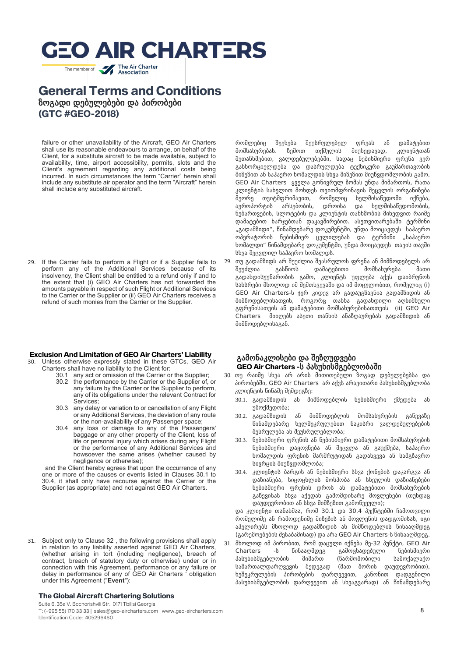The member of **The Air Charter** 

## **General Terms and Conditions** ზოგადი დებულებები და პირობები **(GTC #GEO-2018)**

failure or other unavailability of the Aircraft, GEO Air Charters shall use its reasonable endeavours to arrange, on behalf of the Client, for a substitute aircraft to be made available, subject to availability, time, airport accessibility, permits, slots and the Client's agreement regarding any additional costs being incurred. In such circumstances the term "Carrier" herein shall include any substitute air operator and the term "Aircraft" herein shall include any substituted aircraft.

29. If the Carrier fails to perform a Flight or if a Supplier fails to perform any of the Additional Services because of its insolvency, the Client shall be entitled to a refund only if and to the extent that (i) GEO Air Charters has not forwarded the amounts payable in respect of such Flight or Additional Services to the Carrier or the Supplier or (ii) GEO Air Charters receives a refund of such monies from the Carrier or the Supplier.

#### **Exclusion And Limitation of GEO Air Charters' Liability**

- 30. Unless otherwise expressly stated in these GTCs, GEO Air Charters shall have no liability to the Client for:
	- 30.1 any act or omission of the Carrier or the Supplier; 30.2 the performance by the Carrier or the Supplier of, or any failure by the Carrier or the Supplier to perform, any of its obligations under the relevant Contract for Services;
	- 30.3 any delay or variation to or cancellation of any Flight or any Additional Services, the deviation of any route or the non-availability of any Passenger space;
	- 30.4 any loss or damage to any of the Passengers' baggage or any other property of the Client, loss of life or personal injury which arises during any Flight or the performance of any Additional Services and howsoever the same arises (whether caused by negligence or otherwise);

and the Client hereby agrees that upon the occurrence of any one or more of the causes or events listed in Clauses 30.1 to 30.4, it shall only have recourse against the Carrier or the Supplier (as appropriate) and not against GEO Air Charters.

31. Subject only to Clause 32 , the following provisions shall apply in relation to any liability asserted against GEO Air Charters, (whether arising in tort (including negligence), breach of contract, breach of statutory duty or otherwise) under or in connection with this Agreement, performance or any failure or delay in performance of any of GEO Air Charters ' obligation under this Agreement ("**Event**"):

#### **The Global Aircraft Chartering Solutions**

Suite 6, 35a V. Bochorishvili Str. 0171 Tbilisi Georgia T: (+995 55) 170 33 33 | sales@geo-aircharters.com | www.geo-aircharters.com Identification Code: 405296460

რომლებიც შეეხება შეუსრულებელ ფრეას ან დამატებით მომსახურებას. ზემოთ თქმულის მიუხედავად, კლიენტთან შეთანხმებით, ვალდებულებებში, სადაც ნებისმიერი ფრენა ვერ განხორციელდება და დასრულდება ტექნიკური გაუმართავობის მიზეზით ან საჰაერო ხომალდის სხვა მიზეზით მიუწვდომლობის გამო, GEO Air Charters ყველა გონივრულ ზომას უნდა მიმართოს, რათა კლიენტის სახელით მოხდეს თვითმფრინავის შეცვლის ორგანიზება მეორე თვიტმფრიმავით, რომელიც ხელმისაწვდომი იქნება, აეროპორტის არსებობის, დროისა და ხელმისაწვდომობის, ნებართვების, სლოტების და კლიენტის თანხმობის მიხედვით რაიმე დამატებით ხარჯებთან დაკავშირებით. ასეთვითარებაში ტერმინი "გადამზიდი", წინამდებარე დოკუმენტში, უნდა მოიცავდეს საჰაერო ოპერატორის ნებისმიერ ცვლილებას და ტერმინი "საჰაერო ხომალდი" წინამდებარე დოკუმენტში, უნდა მოიცავდეს თავის თავში სხვა შეცვლილ საჰაერო ხომალდს.

29. თუ გადამზიდს არ შეუძლია შეასრულოს ფრენა ან მიმწოდებელს არ მომსახურება მათი გადახდისუუნარობის გამო, კლიენტს უფლება აქვს დაიბრუნოს სახსრები მხოლოდ იმ შემთხვევაში და იმ მოცულობით, რომელიც (i) GEO Air Charters-ს ჯერ კიდევ არ გადაუგზავნია გადამზიდის ან მიმწოდებლისათვის, როგორც თანხა გადახდილი აღნიშნული გფრენისათვის ან დამატებითი მომსახურებისათთვის (ii) GEO Air Charters მიიღებს ასეთი თანხის ანაზღაურებას გადამზიდის ან მიმწოდებლისაგან.

#### გამონაკლისები და შეზღუდვები **GEO Air Charters -**ს პასუხისმგებლობაში

- 30. თუ რაიმე სხვა არ არის მითითებული ზოგად დებულებებსა და პირობებში, GEO Air Charters არ აქვს არავითარი პასუხისმგებლობა კლიენტის წინაშე შემდეგზე:
	- 30.1. გადამზიდის ან მიმწოდებლის ნებისმიერი ქმედება ან უმოქმედობა;
	- 30.2. გადამზიდის ან მიმწოდებლის მომსახურების გაწევაზე წინამდებარე ხელშეკრულებით ნაკისრი ვალდებულებების შესრულება ან შეუსრულებლობა;
	- 30.3. ნებისმიერი ფრენის ან ნებისმიერი დამატებითი მომსახურების ნებისმიერი დაყოვნება ან შეცვლა ან გაუქმება, საჰაერო ხომალდის ფრენის მარშრუტიდან გადახვევა ან სამგზავრო სივრცის მიუწვდომლობა;
	- 30.4. კლიენტის ბარგის ან ნებისმიერი სხვა ქონების დაკარგვა ან დაზიანება, სიცოცხლის მოსპობა ან სხეულის დაზიანებები ნებისმიერი ფრენის დროს ან დამატებითი მომსახურების გაწევისას სხვა აქედან გამომდინარე მოვლენები (თუნდაც დაუდევრობით ან სხვა მიმზეზით გამოწვეული);

და კლიენტი თანახმაა, რომ 30.1 და 30.4 პუქნტებში ჩამოთვილი რომელიმე ან რამოდენიმე მიზეზის ან მოვლენის დადგომისას, იგი აპელირებს მხოლოდ გადამზიდის ან მიმწოდებლის წინააღმდეგ (გარემოებების შესაბამისად) და არა GEO Air Charters-ს წინააღმდეგ. 31. მხოლოდ იმ პირობით, რომ დაცული იქნება მე-32 პუნქტი, GEO Air

Charters -ს წინააღმდეგ გამოცხადებული ნებისმიერი პასუხისმგებლობის მიმართ (წარმოშობილი სამოქალაქო სამართალდარღვევის შედეგად (მათ შორის დაუდევრობით), ხეშეკრულების პირობების დარღვევით, კანონით დადგენილი პასუხისმგებლობის დარღვევით ან სხვაგვარად) ან წინამდებარე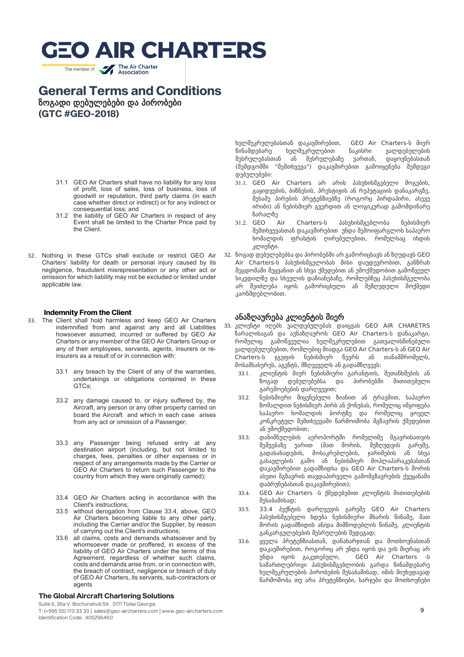The member of **The Air Charter** 

## **General Terms and Conditions**

ზოგადი დებულებები და პირობები **(GTC #GEO-2018)**

- 31.1 GEO Air Charters shall have no liability for any loss of profit, loss of sales, loss of business, loss of goodwill or reputation, third party claims (in each case whether direct or indirect) or for any indirect or consequential loss; and
- 31.2 the liability of GEO Air Charters in respect of any Event shall be limited to the Charter Price paid by the Client.
- 32. Nothing in these GTCs shall exclude or restrict GEO Air Charters' liability for death or personal injury caused by its negligence, fraudulent misrepresentation or any other act or omission for which liability may not be excluded or limited under applicable law.

#### **Indemnity From the Client**

- 33. The Client shall hold harmless and keep GEO Air Charters indemnified from and against any and all Liabilities howsoever assumed, incurred or suffered by GEO Air Charters or any member of the GEO Air Charters Group or any of their employees, servants, agents, insurers or reinsurers as a result of or in connection with:
	- 33.1 any breach by the Client of any of the warranties, undertakings or obligations contained in these GTCs;
	- 33.2 any damage caused to, or injury suffered by, the Aircraft, any person or any other property carried on board the Aircraft and which in each case arises from any act or omission of a Passenger;
	- 33.3 any Passenger being refused entry at any destination airport (including, but not limited to charges, fees, penalties or other expenses or in respect of any arrangements made by the Carrier or GEO Air Charters to return such Passenger to the country from which they were originally carried);
	- 33.4 GEO Air Charters acting in accordance with the Client's instructions;
	- 33.5 without derogation from Clause 33.4, above, GEO Air Charters becoming liable to any other party, including the Carrier and/or the Supplier, by reason of carrying out the Client's instructions;
	- 33.6 all claims, costs and demands whatsoever and by whomsoever made or proffered, in excess of the liability of GEO Air Charters under the terms of this Agreement, regardless of whether such claims, costs and demands arise from, or in connection with, the breach of contract, negligence or breach of duty of GEO Air Charters, its servants, sub-contractors or agents

#### **The Global Aircraft Chartering Solutions**

Suite 6, 35a V. Bochorishvili Str. 0171 Tbilisi Georgia

T: (+995 55) 170 33 33 | sales@geo-aircharters.com | www.geo-aircharters.com Identification Code: 405296460

ხელშეკრულებასთან დაკავშირებით, GEO Air Charters-ს მიერ წინამდებარე ხელშეკრულებით ნაკისრი ვალდებულების<br>შესრულებასთან ან შესრულებაზე უართან, დაყოვნიბასთან შესრულებასთან ან შესრულებაზე (შემდგომში "შემთხვევა") დაკავშირებით გამოიყენება შემდეგი დებულებები:

- 31.1. GEO Air Charters არ არის პასუხისმგებელი მოგების, გაყიდვების, ბიზნესის, პრესტიჟის ან რეპუტაციის დანაკარგზე, მესამე პირების პრეტენზიებზე (როგორც პირდაპირი, ასევე ირიბი) ან ნებისმიერ გვერდით ან ლოგიკურად გამომდინარე ზარალზე
- 31.2. GEO Air Charters-ს პასუხისმგებლობა ნებისმიერ შემთხვევასთან დაკავშირებით უნდა შემოიფარგლოს საჰაერო ხომალდის ფრახტის ღირებულებით, რომელსაც იხდის კლიენტი.
- 32. ზოგად დებულებებსა და პირობებში არ გამორიცხავს ან ზღუდავს GEO Air Charters-ს პასუხისმგელობას მისი დაუდევრობით, განზრახ შეცდომაში შეყვანით ან სხვა ქმედებით ან უმოქმედობით გამოწვეულ სიკვდილზე და სხეულის დაზიანებაზე, რომლებზეც პასუხისმგელობა არ შეიძლება იყოს გამორიცხული ან შეზღუდული მოქმედი კაონმდებლობით.

#### ანაზღაურება კლიენტის მიერ

- 33. კლიენტი იღებს ვალდებულებას დაიცვას GEO AIR CHARETRS ზარალისაგან და აუნაზღაუროს GEO Air Charters-ს დანაკარგი, რომელიც გამოწვეულია ხელშეკრულებით გათვალისწინებული ვალდებულებებით, რომლებიც მიადგა GEO Air Charters-ს ან GEO Air Charters-ს ჯგუფის ნებისმიერ წევრს ან თანამშრომელს, მოსამსახურეს, აგენტს, მზღვეველს ან გადამზღვევს:
	- 33.1. კლიენტის მიერ ნებისმიერი გარანტიის, შეთანხმების ან<br>ზოგად დებულებებსა და პირობებში მითითებული ზოგად დებულებებსა და პირობებში გარემოებების დარღვევით;
	- 33.2. ნებისმიერი მიყენებული ზიანით ან ტრავმით, საჰაერო ზომალდით ნებისმიერ პირს ან ქონებას, რომელიც იმყოფება საჰაერო ხომალდის ბორტზე და რომელიც ყოველ კონკრეტულ შემთხვევაში წარმოიშობა მგზავრის ქმედებით ან უმოქმედობით;
	- 33.3. დანიშნულების აეროპორტში რომელიმე მგავრისათვის შეშვებაზე უარით (მათ შორის, შეზღუდვის გარეშე, გადასახადების, მოსაკრებლების, ჯარიმების ან სხვა გასავლების გამო ან ნებისმიერ მოპლაპარაკებასთან დაკავშირებით გადამზიდსა და GEO Air Charters-ს შორის ასეთი მგზავრის თავდაპირველი გამომგზავრების ქვეყანაში დაბრუნებასთან დაკავშირებით);
	- 33.4. GEO Air Charters -ს ქმედებებით კლიენტის მითითებების შესაბამისად;
	- 33.5. 33.4 პუქნტის დარღვევის გარეშე GEO Air Charters პასუხისმგებელი ხდება ნებისმიერი მხარის წინაშე, მათ შორის გადამზიდის ან/და მიმწოდებლის წინაშე, კლიენტის განკარგულებების შესრულების შედეგად;
	- 33.6. ყველა პრეტენზიასთან, დანახარჯთან და მოთხოვნასთან დაკავშირებით, როგორიც არ უნდა იყოს და ვის მიერაც არ<br>უნდა \_ იყოს \_ გაკეთებული. \_ \_ GEO \_ Air \_ Charters \_ -ს უნდა იყოს გაკეთებული, სამართლებრივი პასუხისმგებლობის გარდა წინამდებარე ხელშეკრულების პირობების შესაბამისად, იმის მიუხედავად წარმოშობა თუ არა პრეტენზიები, ხარჯები და მოთხოვნები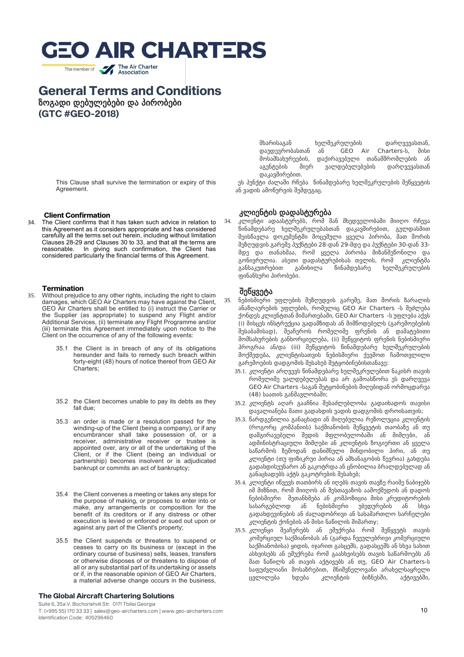The member of **The Air Charter** 

## **General Terms and Conditions**

ზოგადი დებულებები და პირობები

**(GTC #GEO-2018)**

This Clause shall survive the termination or expiry of this Agreement.

## **Client Confirmation**<br><sup>34</sup> The Client confirms that

The Client confirms that it has taken such advice in relation to this Agreement as it considers appropriate and has considered carefully all the terms set out herein, including without limitation Clauses 28-29 and Clauses 30 to 33, and that all the terms are In giving such confirmation, the Client has considered particularly the financial terms of this Agreement.

#### **Termination**

- 35. Without prejudice to any other rights, including the right to claim damages, which GEO Air Charters may have against the Client, GEO Air Charters shall be entitled to (i) instruct the Carrier or the Supplier (as appropriate) to suspend any Flight and/or Additional Services, (ii) terminate any Flight Programme and/or (iii) terminate this Agreement immediately upon notice to the Client on the occurrence of any of the following events:
	- the Client is in breach of any of its obligations hereunder and fails to remedy such breach within forty-eight (48) hours of notice thereof from GEO Air Charters;
	- 35.2 the Client becomes unable to pay its debts as they fall due;
	- 35.3 an order is made or a resolution passed for the winding-up of the Client (being a company), or if any encumbrancer shall take possession of, or a receiver, administrative receiver or trustee is appointed over, any or all of the undertaking of the Client, or if the Client (being an individual or partnership) becomes insolvent or is adjudicated bankrupt or commits an act of bankruptcy;
	- 35.4 the Client convenes a meeting or takes any steps for the purpose of making, or proposes to enter into or make, any arrangements or composition for the benefit of its creditors or if any distress or other execution is levied or enforced or sued out upon or against any part of the Client's property;
	- 35.5 the Client suspends or threatens to suspend or ceases to carry on its business or (except in the ordinary course of business) sells, leases, transfers or otherwise disposes of or threatens to dispose of all or any substantial part of its undertaking or assets or if, in the reasonable opinion of GEO Air Charters, a material adverse change occurs in the business,

#### **The Global Aircraft Chartering Solutions**

Suite 6, 35a V. Bochorishvili Str. 0171 Tbilisi Georgia T: (+995 55) 170 33 33 | sales@geo-aircharters.com | www.geo-aircharters.com Identification Code: 405296460

მხარისაგან ხელშეკრულების დარღვევასთან, დაუდევრობასთან ან GEO Air Charters-ს, მისი მოსამსახურეების, დაქირავებული თანამშრომლების ან აგენტების მიერ ვალდებულებების დარღვევასთან დაკავშირებით.

 ეს პუნქტი ძალაში რჩება წინამდებარე ხელშეკრულების შეწყვეტის ან ვადის ამოწურვის შემდეგაც.

#### კლიენტის დადასტურება

34. კლიენტი ადაასტურებს, რომ მან მხედველობაში მიიღო რჩევა წინამდებარე ხელშეკრულებასთან დაკავშირებით, გულდასმით შეისწავლა დოკუმენტში მოცემული ყველა პირობა, მათ შორის შეზღუდვის გარეშე პუქნტები 28-დან 29-მდე და პუქნტები 30-დან 33 მდე და თანახმაა, რომ ყველა პირობა მიზანშეწონილი და გონივრულია. ასეთი დადასტურებისას თვლის, რომ<br>განსაკუთრებით განიხილა წინამდებარე ხელ განსაკუთრებით განიხილა წინამდებარე ხელშეკრულების ფინანსური პირობები.

#### შეწყვეტა

- 35. ნებისმიერი უფლების შეზღუდვის გარეშე, მათ შორის ზარალის ანაზღაურების უფლების, რომელიც GEO Air Charters -ს შეძლება ქონდეს კლიენტთან მიმართებაში, GEO Air Charters -ს უფლება აქვს (i) მისცეს ინსტრუქცია გადამზიდას ან მიმწოდებელს (გარემოებების შესაბამისად), შეაჩეროს რომელიმე ფრენის ან დამატებითი მომსახურების განხორციელება, (ii) შეწყვიტოს ფრენის ნებისმიერი პროგრაა ან/და (iii) შეწყვიტოს წინამდებარე ხელშეკრულების მოქმედება, კლიენტისათვის ნებისმიერი ქევმოთ ჩამოთვლილი გარემოების დადგომის შესახებ შეტყობინებისთანავე:
	- 35.1. კლიენტი არღვევს წინამდებარე ხელშეკრულებით ნაკისრ თავის რომელიმე ვალდებულებას და არ გამოასწორა ეს დარღვევა GEO Air Charters -საგან შეტყობინების მიღებიდან ორმოცდარვა (48) საათის განმავლობაში;
	- 35.2. კლიენტს აღარ გააჩნია შესაძლებლობა გადაიხადოს თავისი დავალიანება მათი გადახდის ვადის დადგომის დროისათვის;
	- 35.3. წარდგენილია განაცხადი ან მიღებულია რეზოლუცია კლიენტის (როგორც კომპანიის) საქმიანობის შეწყვეტის თაობაზე ან თუ დამგირავებელი შედის მფლობელობაში ან მიმღები, ან ადმინისტრაციული მიმღები ან კლიენტის ზოგიერთი ან ყველა საწარმოს ზემოდან დანიშნული მინდობილი პირი, ან თუ კლიენტი (თუ ფიზიკრუი პირია ან ამხანაგობის წევრია) გახდება გადახდისუუნარო ან გაკოტრდა ან ცნობილია ბრალდებულად ან განაცხადებს აქტს გაკოტრების შესახებ;
	- 35.4. კლიენტი იწვევს თათბირს ან იღებს თავის თავზე რაიმე ნაბიჯებს იმ მიზნით, რომ მიიღოს ან შესთავაზოს აამოქმედოს ან დადოს ნებისმიერი შეთანხმება ან კომპოზიცია მისი კრედიტორების სასარგებლოდ ან ნებისმიერი უბედურების ან სხვა გადახდევინების ან ძალადობრივი ან სასამართლო სარჩელები კლიენტის ქონების ან მისი ნაწილის მიმართy;
	- 35.5. კლიენყი შეაჩერებს ან ემუქრება რომ შეწყვეტს თავის კომერციულ საქმიანობას ან (გარდა ჩვეულებრივი კომერციული საქმიანობისა) ყიდის, იჯარით გასცემს, გადასცემს ან სხვა სახით ასხვისებს ან ემუქრება რომ გაასხვისებს თავის საწარმოებს ან მათ ნაწილს ან თავის აქტივებს ან თუ, GEO Air Charters-ს საფუძვლიანი მოსაზრებით, მნიშვნელოვანი არახელსაყრელი ცვლილება ხდება კლიენტის ბიზნესში, აქტივებში,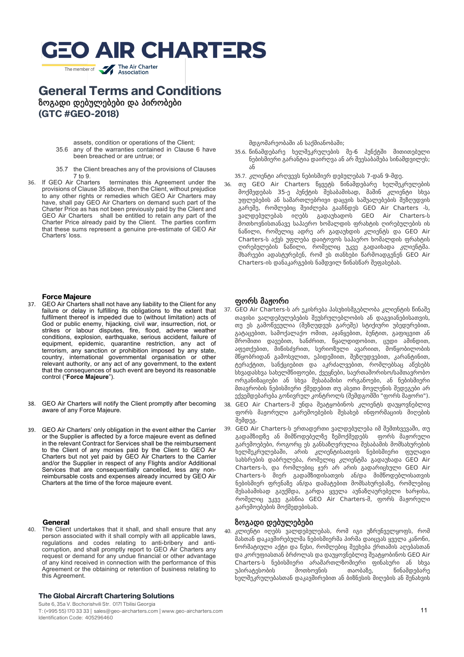The member of **The Air Charter** 

### **General Terms and Conditions** ზოგადი დებულებები და პირობები **(GTC #GEO-2018)**

- assets, condition or operations of the Client; 35.6 any of the warranties contained in Clause 6 have been breached or are untrue; or
- 35.7 the Client breaches any of the provisions of Clauses
- 7 to 9.<br>36 If GEO Air Charters 36. If GEO Air Charters terminates this Agreement under the provisions of Clause 35 above, then the Client, without prejudice to any other rights or remedies which GEO Air Charters may have, shall pay GEO Air Charters on demand such part of the Charter Price as has not been previously paid by the Client and GEO Air Charters shall be entitled to retain any part of the Charter Price already paid by the Client. The parties confirm that these sums represent a genuine pre-estimate of GEO Air Charters' loss.

მდგომარეობაში ან საქმიანობაში;

- 35.6. წინამდებარე ხელშეკრულების მე-6 პუნქტში მითითებული ნებისმიერი გარანტია დაირღვა ან არ შეესაბამება სინამდვილეს; ან
- 35.7. კლიენტი არღვევს ნებისმიერ დებულებას 7-დან 9-მდე.
- 36. თუ GEO Air Charters წყვეტს წინამდებარე ხელშეკრულების მოქმედებას 35-ე პუნქტის შესაბამისად, მაშინ კლიენტი სხვა უფლებების ან სამართლებრივი დაცვის საშუალებების შეზღუდვის გარეშე, რომლებიც შეიძლება გააჩნდეს GEO Air Charters -ს, ვალდებულებას იღებს გადაუხადოს GEO Air Charters-ს მოთხოვნისთანავე საჰაერო ხომალდის ფრახტის ღირებულების ის ნაწილი, რომელიც ადრე არ გადაუხდის კლიენტს და GEO Air Charters-ს აქვს უფლება დაიტოვოს საჰაერო ხომალდის ფრახტის ღირებულების ნაწილი, რომელიც უკვე გადაიხადა კლიენტმა. მხარეები ადასტურებენ, რომ ეს თანხები წარმოადგენენ GEO Air Charters-ის დანაკარგების ნამდვილ წინასწარ შეფასებას.

## **Force Majeure**<br>**37 GEO Air Charters**

- GEO Air Charters shall not have any liability to the Client for any failure or delay in fulfilling its obligations to the extent that fulfilment thereof is impeded due to (without limitation) acts of God or public enemy, hijacking, civil war, insurrection, riot, or strikes or labour disputes, fire, flood, adverse weather conditions, explosion, earthquake, serious accident, failure of equipment, epidemic, quarantine restriction, any act of terrorism, any sanction or prohibition imposed by any state, country, international governmental organisation or other relevant authority, or any act of any government, to the extent that the consequences of such event are beyond its reasonable control ("**Force Majeure**").
- 38. GEO Air Charters will notify the Client promptly after becoming aware of any Force Majeure.
- 39. GEO Air Charters' only obligation in the event either the Carrier or the Supplier is affected by a force majeure event as defined in the relevant Contract for Services shall be the reimbursement to the Client of any monies paid by the Client to GEO Air Charters but not yet paid by GEO Air Charters to the Carrier and/or the Supplier in respect of any Flights and/or Additional Services that are consequentially cancelled, less any nonreimbursable costs and expenses already incurred by GEO Air Charters at the time of the force majeure event.

#### **General**

40. The Client undertakes that it shall, and shall ensure that any person associated with it shall comply with all applicable laws, regulations and codes relating to anti-bribery and anticorruption, and shall promptly report to GEO Air Charters any request or demand for any undue financial or other advantage of any kind received in connection with the performance of this Agreement or the obtaining or retention of business relating to this Agreement.

#### **The Global Aircraft Chartering Solutions**

Suite 6, 35a V. Bochorishvili Str. 0171 Tbilisi Georgia T: (+995 55) 170 33 33 | sales@geo-aircharters.com | www.geo-aircharters.com Identification Code: 405296460

#### ფორს მაჟორი

- 37. GEO Air Charters-ს არ ეკისრება პასუხისმგებლობა კლიენტის წინაშე თავისი ვალდებულებების შეუსრულებლობის ან დაგვიანებისათვის, თუ ეს გამოწვეულია (შეზღუდვუს გარეშე) სტიქიური უბედურებით, გატაცებით, სამოქალაქო ომით, აჯანყებით, ბუნტით, გაფიცვით ან შრომითი დავებით, ხანძრით, წყალდიდობით, ცუდი ამინდით, აფეთქებით, მიწისძვრით, სერიოზული ავარიით, მოწყობილობის მწყობრიდან გამოსვლით, ეპიდემიით, შეზღუდვებით, კარანტინით, ტერაქტით, სანქციებით და აკრძალვებით, რომლებსაც აწესებს სხვადასხვა სახელმწიფოები, ქვეყნები, საერთაშორისო/სამთავრობო ორგანიზაციები ან სხვა შესაბამისი ორგანოები, ან ნებისმიერი მთავრობის ნებისმიერი ქმედებით თუ ასეთი მოვლენის შედეგები არ ექვემდებარება გონივრულ კონტროლს (შემდგომში "ფორს მაჟორი").
- 38. GEO Air Charters-მ უნდა შეატყობინოს კლიენტს დაუყოვნებლივ ფორს მაჟორული გარემოებების შესახებ ინფორმაციის მიღების შემდეგ.
- 39. GEO Air Charters-ს ერთადერთი ვალდებულება იმ შემთხვევაში, თუ გადამზიდზე ან მიმწოდებელზე ზემოქმედებს ფორს მაჟორული გარემოებები, როგორც ეს განსაზღვრულია შესაბამის მომსახურების ხელშეკრულებაში, არის კლიენტისათვის ნებისმიერი ფულადი სახსრების დაბრულება, რომელიც კლიენტმა გადაუხადა GEO Air Charters-ს, და რომლებიც ჯერ არ არის გადარიცხული GEO Air Charters-ს მიერ გადამზიდისათვის ან/და მიმწოდებლისათვის ნებისმიერ ფრენაზე ან/და დამატებით მომსახურებაზე, რომლებიც შესაბამისად გაუქმდა, გარდა ყველა აუნაზღაურებელი ხარჯისა, რომელიც უკვე გასწია GEO Air Charters-მ, ფორს მაჟორული გარემოებების მოქმედებისას.

#### ზოგადი დებულებები

40. კლიენტი იღებს ვალდებულებას, რომ იგი უზრუნველყოფს, რომ მასთან დაკავშირებულმა ნებისმიერმა პირმა დაიცვას ყველა კანონი, ნორმატიული აქტი და წესი, რომლებიც შეეხება ქრთამის აღებასთან და კორუფიასთან ბრძოლას და დაუყოვნებლივ შეატყობინოს GEO Air Charters-ს ნებისმიერი არამართლზომიერი ფინასური ან სხვა უპირატესობის მოთხოვნის თაობაზე, წინამდებარე ხელშეკრულებასთან დაკავშირებით ან ბიზნესის მიღების ან შენახვის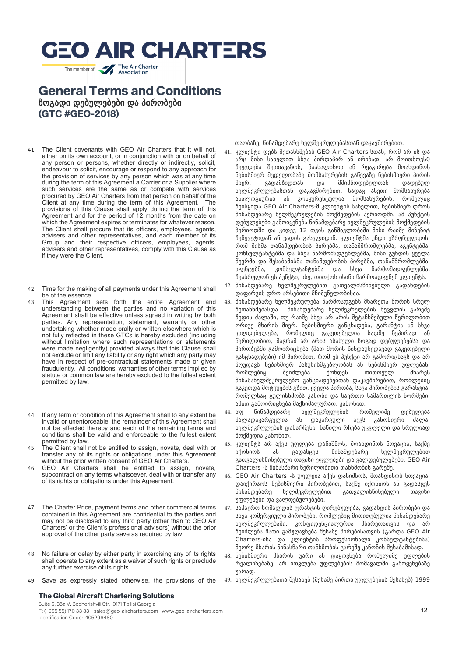## **GEO AIR CHARTERS** The member of **The Air Charter**

**General Terms and Conditions** ზოგადი დებულებები და პირობები **(GTC #GEO-2018)**

- 41. The Client covenants with GEO Air Charters that it will not, either on its own account, or in conjunction with or on behalf of any person or persons, whether directly or indirectly, solicit, endeavour to solicit, encourage or respond to any approach for the provision of services by any person which was at any time during the term of this Agreement a Carrier or a Supplier where such services are the same as or compete with services procured by GEO Air Charters from that person on behalf of the Client at any time during the term of this Agreement. The provisions of this Clause shall apply during the term of this Agreement and for the period of 12 months from the date on which the Agreement expires or terminates for whatever reason. The Client shall procure that its officers, employees, agents, advisers and other representatives, and each member of its Group and their respective officers, employees, agents, advisers and other representatives, comply with this Clause as if they were the Client.
- 42. Time for the making of all payments under this Agreement shall be of the essence.
- 43. This Agreement sets forth the entire Agreement and understanding between the parties and no variation of this Agreement shall be effective unless agreed in writing by both parties. Any representation, statement, warranty or other undertaking whether made orally or written elsewhere which is not fully reflected in these GTCs is hereby excluded (including without limitation where such representations or statements were made negligently) provided always that this Clause shall not exclude or limit any liability or any right which any party may have in respect of pre-contractual statements made or given fraudulently. All conditions, warranties of other terms implied by statute or common law are hereby excluded to the fullest extent permitted by law.
- 44. If any term or condition of this Agreement shall to any extent be invalid or unenforceable, the remainder of this Agreement shall not be affected thereby and each of the remaining terms and conditions shall be valid and enforceable to the fullest extent permitted by law.
- 45. The Client shall not be entitled to assign, novate, deal with or transfer any of its rights or obligations under this Agreement without the prior written consent of GEO Air Charters.
- 46. GEO Air Charters shall be entitled to assign, novate, subcontract on any terms whatsoever, deal with or transfer any of its rights or obligations under this Agreement.
- 47. The Charter Price, payment terms and other commercial terms contained in this Agreement are confidential to the parties and may not be disclosed to any third party (other than to GEO Air Charters' or the Client's professional advisors) without the prior approval of the other party save as required by law.
- 48. No failure or delay by either party in exercising any of its rights shall operate to any extent as a waiver of such rights or preclude any further exercise of its rights.
- 49. Save as expressly stated otherwise, the provisions of the

#### **The Global Aircraft Chartering Solutions**

Suite 6, 35a V. Bochorishvili Str. 0171 Tbilisi Georgia T: (+995 55) 170 33 33 | sales@geo-aircharters.com | www.geo-aircharters.com Identification Code: 405296460

თაობაზე, წინამდებარე ხელშეკრულებასთან დაკავშირებით.

- 41. კლიენტი დებს შეთანხმებას GEO Air Charters-სთან, რომ არ ის და არც მისი სახელით სხვა პირდაპირ ან ირიბად, არ მოითხოვს0 შეეცდება შესთავაზოს, წაახალისოს ან რეაგირება მოახდინოს ნებისმიერ მცდელობაზე მომსახურების გაწევაზე ნებისმიერი პირის მიერ, გადამზიდთან და მმიმწოდებელთან დადებულ ხელშეკრულებასთან დაკავშირებით, სადაც ასეთი მომსახურება ანალოგიურია ან კონკურენტულია მომსახურების, რომელიც შეისყიდა GEO Air Charters-მ კლიენტის სახელით, ნებისმიერ დროს წინამდებარე ხელშეკრულების მოქმედების პერიოდში. ამ პუნქტის დებულებები გამოიყენება წინამდებარე ხელშეკრულების მოქმედების პერიოდში და კიდევ 12 თვის განმავლობაში მისი რაიმე მიზეზიტ შეწყვეტიდან ან ვადის გასვლიდან. კლიენტმა უნდა უზრუნველყოს, რომ მისმა თანამდებობის პირებმა, თანამშრომლებმა, აგენტებმა, კონსულტანტებმა და სხვა წარმომადგენლებმა, მისი გუნდის ყველა წევრმა და შესაბამისმა თანამდებობის პირებმა, თანამშრომლებმა, აგენტებმა, კონსულტანტებმა და სხვა წარმომადგენლებმა, შეასრულონ ეს პუნქტი, ისე, თითქოს ისინი წარმოადგენენ კლიენტს.
- 42. წინამდებარე ხელშეკრულებით გათვალისწინებული გადახდების დაფარვის დრო არსებითი მნიშვნელობისაა.
- 43. წინამდებარე ხელშეკრულება წარმოადგენს მხარეთა შორის სრულ შეთანხმებასდა წინამდებარე ხელშეკრულების შეცვლის გარეშე შედის ძალაში, თუ რაიმე სხვა არ არის შეტანხმებული წერილობით ორივე მხარის მიერ. ნებისმიერი განცხადება, გარანტია ან სხვა ვალდებულება, რომელიც გაკეთებულია სადმე ზეპირად ან წერილობით, მაგრამ არ არის ასახული ზოგად დებულებებსა და პირობებში გამოირიცხება (მათ შორის წინდაუხედავად გაკეთებული განცხადებები) იმ პირობით, რომ ეს პუნქტი არ გამორიცხავს და არ ზღუდავს ნებისმიერ პასუხისმგებლობას ან ნებისმიერ უფლებას, რომლებიც შეიძლება ქონდეს თითოეულ მხარეს წინასახელშეკრულებო განცხადებებთან დაკავშირებით, რომლებიც გაკეთდა მოტყუების გზით. ყველა პირობა, სხვა პირობების გარანტია, რომელსაც გულისხმობს კანონი და საერთო სამართლის ნორმები, ამით გამოირიცხება მაქსიმალურად, კანონით.
- 44. თუ წინამდებარე ხელშეკრულების რომელიმე დებულება ძალადაკარგულია ან დაკარგული აქვს კანონიერი ძალა, ხელშეკრულების დანარჩენი ნაწილი რჩება უცვლელი და სრულიად მოქმედია კანონით.
- 45. კლიენტს არ აქვს უფლება დანიშნოს, მოახდინოს ნოვაცია, საქმე იქონიოს ან გადასცეს წინამდებარე ხელშეკრულებით გათვალისწინებული თავისი უფლებები და ვალდებულებები, GEO Air Charters -ს წინასწარი წერილობითი თანხმობის გარეშე.
- 46. GEO Air Charters -ს უფლება აქვს დანიშნოს, მოახდინოს ნოვაცია, დაიქირაოს ნებისმიერი პირობებით, საქმე იქონიოს ან გადასცეს წინამდებარე ხელშეკრულებით გათვალისწინებული თავისი უფლებები და ვალდებულებები.
- 47. საჰაერო ხომალდის ფრახტის ღირებულება, გადახდის პირობები და სხვა კომერციული პირობები, რომლებიც მითითებულია წინამდებარე ხელშეკრულებაში, კონფიდენციალურია მხარეთათვის და არ შეიძლება მათი გამჟღავნება მესამე პირებისათვის (გარდა GEO Air Charters-ისა და კლიენტის პროფესიონალი კონსულტანტებისა) მეორე მხარის წინასწარი თანხმობის გარეშე კანონის შესაბამისად.
- 48. ნებისმიერი მხარის უარი ან დაყოვნება რომელიმე უფლების რეალიზებაზე, არ ითვლება უფლებების მომავალში გამოყენებაზე უარად.
- 49. ხელშეკრულებათა შესახებ (მესამე პირთა უფლებების შესახებ) 1999